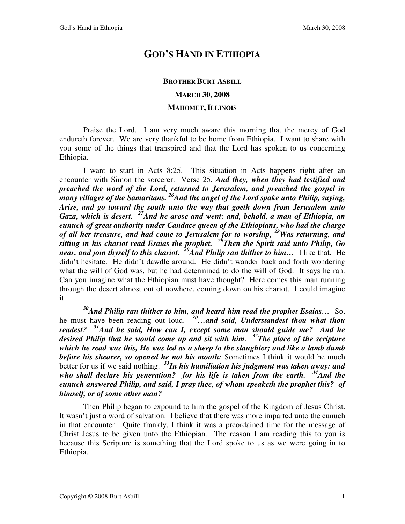## **GOD'S HAND IN ETHIOPIA**

## **BROTHER BURT ASBILL MARCH 30, 2008**

## **MAHOMET, ILLINOIS**

Praise the Lord. I am very much aware this morning that the mercy of God endureth forever. We are very thankful to be home from Ethiopia. I want to share with you some of the things that transpired and that the Lord has spoken to us concerning Ethiopia.

I want to start in Acts 8:25. This situation in Acts happens right after an encounter with Simon the sorcerer. Verse 25, *And they, when they had testified and preached the word of the Lord, returned to Jerusalem, and preached the gospel in many villages of the Samaritans. <sup>26</sup>And the angel of the Lord spake unto Philip, saying, Arise, and go toward the south unto the way that goeth down from Jerusalem unto Gaza, which is desert. <sup>27</sup>And he arose and went: and, behold, a man of Ethiopia, an eunuch of great authority under Candace queen of the Ethiopians, who had the charge of all her treasure, and had come to Jerusalem for to worship, <sup>28</sup>Was returning, and sitting in his chariot read Esaias the prophet. <sup>29</sup>Then the Spirit said unto Philip, Go near, and join thyself to this chariot. <sup>30</sup>And Philip ran thither to him…* I like that. He didn't hesitate. He didn't dawdle around. He didn't wander back and forth wondering what the will of God was, but he had determined to do the will of God. It says he ran. Can you imagine what the Ethiopian must have thought? Here comes this man running through the desert almost out of nowhere, coming down on his chariot. I could imagine it.

*<sup>30</sup>And Philip ran thither to him, and heard him read the prophet Esaias…* So, he must have been reading out loud. *<sup>30</sup>…and said, Understandest thou what thou readest? <sup>31</sup>And he said, How can I, except some man should guide me? And he desired Philip that he would come up and sit with him. <sup>32</sup>The place of the scripture which he read was this, He was led as a sheep to the slaughter; and like a lamb dumb before his shearer, so opened he not his mouth:* Sometimes I think it would be much better for us if we said nothing. *<sup>33</sup>In his humiliation his judgment was taken away: and who shall declare his generation? for his life is taken from the earth. <sup>34</sup>And the eunuch answered Philip, and said, I pray thee, of whom speaketh the prophet this? of himself, or of some other man?*

Then Philip began to expound to him the gospel of the Kingdom of Jesus Christ. It wasn't just a word of salvation. I believe that there was more imparted unto the eunuch in that encounter. Quite frankly, I think it was a preordained time for the message of Christ Jesus to be given unto the Ethiopian. The reason I am reading this to you is because this Scripture is something that the Lord spoke to us as we were going in to Ethiopia.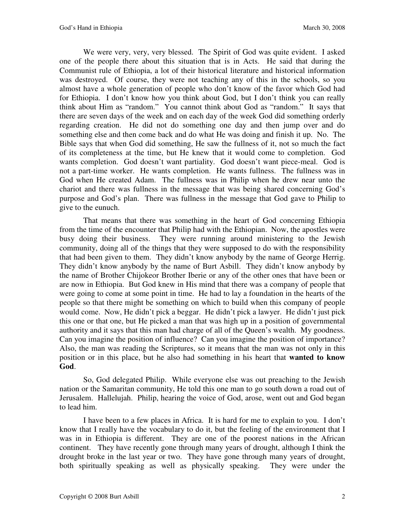We were very, very, very blessed. The Spirit of God was quite evident. I asked one of the people there about this situation that is in Acts. He said that during the Communist rule of Ethiopia, a lot of their historical literature and historical information was destroyed. Of course, they were not teaching any of this in the schools, so you almost have a whole generation of people who don't know of the favor which God had for Ethiopia. I don't know how you think about God, but I don't think you can really think about Him as "random." You cannot think about God as "random." It says that there are seven days of the week and on each day of the week God did something orderly regarding creation. He did not do something one day and then jump over and do something else and then come back and do what He was doing and finish it up. No. The Bible says that when God did something, He saw the fullness of it, not so much the fact of its completeness at the time, but He knew that it would come to completion. God wants completion. God doesn't want partiality. God doesn't want piece-meal. God is not a part-time worker. He wants completion. He wants fullness. The fullness was in God when He created Adam. The fullness was in Philip when he drew near unto the chariot and there was fullness in the message that was being shared concerning God's purpose and God's plan. There was fullness in the message that God gave to Philip to give to the eunuch.

That means that there was something in the heart of God concerning Ethiopia from the time of the encounter that Philip had with the Ethiopian. Now, the apostles were busy doing their business. They were running around ministering to the Jewish community, doing all of the things that they were supposed to do with the responsibility that had been given to them. They didn't know anybody by the name of George Herrig. They didn't know anybody by the name of Burt Asbill. They didn't know anybody by the name of Brother Chijokeor Brother Iberie or any of the other ones that have been or are now in Ethiopia. But God knew in His mind that there was a company of people that were going to come at some point in time. He had to lay a foundation in the hearts of the people so that there might be something on which to build when this company of people would come. Now, He didn't pick a beggar. He didn't pick a lawyer. He didn't just pick this one or that one, but He picked a man that was high up in a position of governmental authority and it says that this man had charge of all of the Queen's wealth. My goodness. Can you imagine the position of influence? Can you imagine the position of importance? Also, the man was reading the Scriptures, so it means that the man was not only in this position or in this place, but he also had something in his heart that **wanted to know God**.

So, God delegated Philip. While everyone else was out preaching to the Jewish nation or the Samaritan community, He told this one man to go south down a road out of Jerusalem. Hallelujah. Philip, hearing the voice of God, arose, went out and God began to lead him.

I have been to a few places in Africa. It is hard for me to explain to you. I don't know that I really have the vocabulary to do it, but the feeling of the environment that I was in in Ethiopia is different. They are one of the poorest nations in the African continent. They have recently gone through many years of drought, although I think the drought broke in the last year or two. They have gone through many years of drought, both spiritually speaking as well as physically speaking. They were under the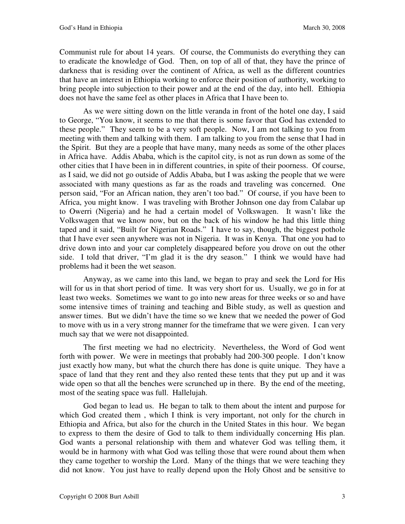Communist rule for about 14 years. Of course, the Communists do everything they can to eradicate the knowledge of God. Then, on top of all of that, they have the prince of darkness that is residing over the continent of Africa, as well as the different countries that have an interest in Ethiopia working to enforce their position of authority, working to bring people into subjection to their power and at the end of the day, into hell. Ethiopia does not have the same feel as other places in Africa that I have been to.

As we were sitting down on the little veranda in front of the hotel one day, I said to George, "You know, it seems to me that there is some favor that God has extended to these people." They seem to be a very soft people. Now, I am not talking to you from meeting with them and talking with them. I am talking to you from the sense that I had in the Spirit. But they are a people that have many, many needs as some of the other places in Africa have. Addis Ababa, which is the capitol city, is not as run down as some of the other cities that I have been in in different countries, in spite of their poorness. Of course, as I said, we did not go outside of Addis Ababa, but I was asking the people that we were associated with many questions as far as the roads and traveling was concerned. One person said, "For an African nation, they aren't too bad." Of course, if you have been to Africa, you might know. I was traveling with Brother Johnson one day from Calabar up to Owerri (Nigeria) and he had a certain model of Volkswagen. It wasn't like the Volkswagen that we know now, but on the back of his window he had this little thing taped and it said, "Built for Nigerian Roads." I have to say, though, the biggest pothole that I have ever seen anywhere was not in Nigeria. It was in Kenya. That one you had to drive down into and your car completely disappeared before you drove on out the other side. I told that driver, "I'm glad it is the dry season." I think we would have had problems had it been the wet season.

Anyway, as we came into this land, we began to pray and seek the Lord for His will for us in that short period of time. It was very short for us. Usually, we go in for at least two weeks. Sometimes we want to go into new areas for three weeks or so and have some intensive times of training and teaching and Bible study, as well as question and answer times. But we didn't have the time so we knew that we needed the power of God to move with us in a very strong manner for the timeframe that we were given. I can very much say that we were not disappointed.

The first meeting we had no electricity. Nevertheless, the Word of God went forth with power. We were in meetings that probably had 200-300 people. I don't know just exactly how many, but what the church there has done is quite unique. They have a space of land that they rent and they also rented these tents that they put up and it was wide open so that all the benches were scrunched up in there. By the end of the meeting, most of the seating space was full. Hallelujah.

God began to lead us. He began to talk to them about the intent and purpose for which God created them , which I think is very important, not only for the church in Ethiopia and Africa, but also for the church in the United States in this hour. We began to express to them the desire of God to talk to them individually concerning His plan. God wants a personal relationship with them and whatever God was telling them, it would be in harmony with what God was telling those that were round about them when they came together to worship the Lord. Many of the things that we were teaching they did not know. You just have to really depend upon the Holy Ghost and be sensitive to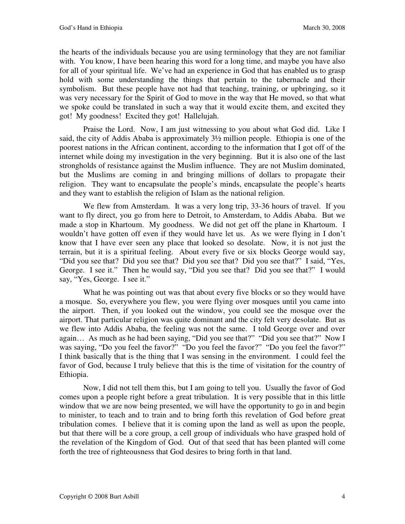the hearts of the individuals because you are using terminology that they are not familiar with. You know, I have been hearing this word for a long time, and maybe you have also for all of your spiritual life. We've had an experience in God that has enabled us to grasp hold with some understanding the things that pertain to the tabernacle and their symbolism. But these people have not had that teaching, training, or upbringing, so it was very necessary for the Spirit of God to move in the way that He moved, so that what we spoke could be translated in such a way that it would excite them, and excited they got! My goodness! Excited they got! Hallelujah.

Praise the Lord. Now, I am just witnessing to you about what God did. Like I said, the city of Addis Ababa is approximately 3½ million people. Ethiopia is one of the poorest nations in the African continent, according to the information that I got off of the internet while doing my investigation in the very beginning. But it is also one of the last strongholds of resistance against the Muslim influence. They are not Muslim dominated, but the Muslims are coming in and bringing millions of dollars to propagate their religion. They want to encapsulate the people's minds, encapsulate the people's hearts and they want to establish the religion of Islam as the national religion.

We flew from Amsterdam. It was a very long trip, 33-36 hours of travel. If you want to fly direct, you go from here to Detroit, to Amsterdam, to Addis Ababa. But we made a stop in Khartoum. My goodness. We did not get off the plane in Khartoum. I wouldn't have gotten off even if they would have let us. As we were flying in I don't know that I have ever seen any place that looked so desolate. Now, it is not just the terrain, but it is a spiritual feeling. About every five or six blocks George would say, "Did you see that? Did you see that? Did you see that? Did you see that?" I said, "Yes, George. I see it." Then he would say, "Did you see that? Did you see that?" I would say, "Yes, George. I see it."

What he was pointing out was that about every five blocks or so they would have a mosque. So, everywhere you flew, you were flying over mosques until you came into the airport. Then, if you looked out the window, you could see the mosque over the airport. That particular religion was quite dominant and the city felt very desolate. But as we flew into Addis Ababa, the feeling was not the same. I told George over and over again… As much as he had been saying, "Did you see that?" "Did you see that?" Now I was saying, "Do you feel the favor?" "Do you feel the favor?" "Do you feel the favor?" I think basically that is the thing that I was sensing in the environment. I could feel the favor of God, because I truly believe that this is the time of visitation for the country of Ethiopia.

Now, I did not tell them this, but I am going to tell you. Usually the favor of God comes upon a people right before a great tribulation. It is very possible that in this little window that we are now being presented, we will have the opportunity to go in and begin to minister, to teach and to train and to bring forth this revelation of God before great tribulation comes. I believe that it is coming upon the land as well as upon the people, but that there will be a core group, a cell group of individuals who have grasped hold of the revelation of the Kingdom of God. Out of that seed that has been planted will come forth the tree of righteousness that God desires to bring forth in that land.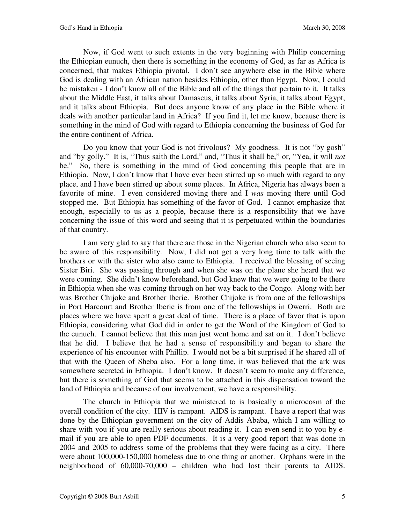Now, if God went to such extents in the very beginning with Philip concerning the Ethiopian eunuch, then there is something in the economy of God, as far as Africa is concerned, that makes Ethiopia pivotal. I don't see anywhere else in the Bible where God is dealing with an African nation besides Ethiopia, other than Egypt. Now, I could be mistaken - I don't know all of the Bible and all of the things that pertain to it. It talks about the Middle East, it talks about Damascus, it talks about Syria, it talks about Egypt, and it talks about Ethiopia. But does anyone know of any place in the Bible where it deals with another particular land in Africa? If you find it, let me know, because there is something in the mind of God with regard to Ethiopia concerning the business of God for the entire continent of Africa.

Do you know that your God is not frivolous? My goodness. It is not "by gosh" and "by golly." It is, "Thus saith the Lord," and, "Thus it shall be," or, "Yea, it will *not* be." So, there is something in the mind of God concerning this people that are in Ethiopia. Now, I don't know that I have ever been stirred up so much with regard to any place, and I have been stirred up about some places. In Africa, Nigeria has always been a favorite of mine. I even considered moving there and I *was* moving there until God stopped me. But Ethiopia has something of the favor of God. I cannot emphasize that enough, especially to us as a people, because there is a responsibility that we have concerning the issue of this word and seeing that it is perpetuated within the boundaries of that country.

I am very glad to say that there are those in the Nigerian church who also seem to be aware of this responsibility. Now, I did not get a very long time to talk with the brothers or with the sister who also came to Ethiopia. I received the blessing of seeing Sister Biri. She was passing through and when she was on the plane she heard that we were coming. She didn't know beforehand, but God knew that we were going to be there in Ethiopia when she was coming through on her way back to the Congo. Along with her was Brother Chijoke and Brother Iberie. Brother Chijoke is from one of the fellowships in Port Harcourt and Brother Iberie is from one of the fellowships in Owerri. Both are places where we have spent a great deal of time. There is a place of favor that is upon Ethiopia, considering what God did in order to get the Word of the Kingdom of God to the eunuch. I cannot believe that this man just went home and sat on it. I don't believe that he did. I believe that he had a sense of responsibility and began to share the experience of his encounter with Phillip. I would not be a bit surprised if he shared all of that with the Queen of Sheba also. For a long time, it was believed that the ark was somewhere secreted in Ethiopia. I don't know. It doesn't seem to make any difference, but there is something of God that seems to be attached in this dispensation toward the land of Ethiopia and because of our involvement, we have a responsibility.

The church in Ethiopia that we ministered to is basically a microcosm of the overall condition of the city. HIV is rampant. AIDS is rampant. I have a report that was done by the Ethiopian government on the city of Addis Ababa, which I am willing to share with you if you are really serious about reading it. I can even send it to you by email if you are able to open PDF documents. It is a very good report that was done in 2004 and 2005 to address some of the problems that they were facing as a city. There were about 100,000-150,000 homeless due to one thing or another. Orphans were in the neighborhood of 60,000-70,000 – children who had lost their parents to AIDS.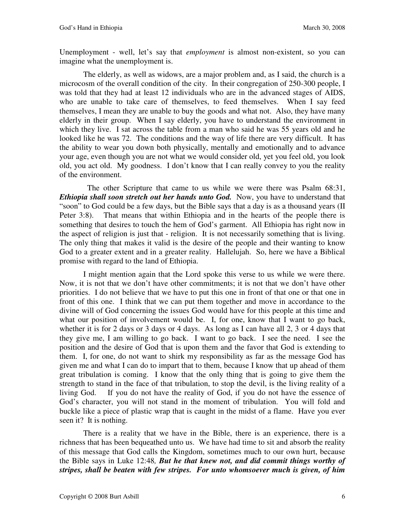Unemployment - well, let's say that *employment* is almost non-existent, so you can imagine what the unemployment is.

The elderly, as well as widows, are a major problem and, as I said, the church is a microcosm of the overall condition of the city. In their congregation of 250-300 people, I was told that they had at least 12 individuals who are in the advanced stages of AIDS, who are unable to take care of themselves, to feed themselves. When I say feed themselves, I mean they are unable to buy the goods and what not. Also, they have many elderly in their group. When I say elderly, you have to understand the environment in which they live. I sat across the table from a man who said he was 55 years old and he looked like he was 72. The conditions and the way of life there are very difficult. It has the ability to wear you down both physically, mentally and emotionally and to advance your age, even though you are not what we would consider old, yet you feel old, you look old, you act old. My goodness. I don't know that I can really convey to you the reality of the environment.

 The other Scripture that came to us while we were there was Psalm 68:31, *Ethiopia shall soon stretch out her hands unto God.* Now, you have to understand that "soon" to God could be a few days, but the Bible says that a day is as a thousand years (II Peter 3:8). That means that within Ethiopia and in the hearts of the people there is something that desires to touch the hem of God's garment. All Ethiopia has right now in the aspect of religion is just that - religion. It is not necessarily something that is living. The only thing that makes it valid is the desire of the people and their wanting to know God to a greater extent and in a greater reality. Hallelujah.So, here we have a Biblical promise with regard to the land of Ethiopia.

I might mention again that the Lord spoke this verse to us while we were there. Now, it is not that we don't have other commitments; it is not that we don't have other priorities. I do not believe that we have to put this one in front of that one or that one in front of this one. I think that we can put them together and move in accordance to the divine will of God concerning the issues God would have for this people at this time and what our position of involvement would be. I, for one, know that I want to go back, whether it is for 2 days or 3 days or 4 days. As long as I can have all 2, 3 or 4 days that they give me, I am willing to go back. I want to go back. I see the need. I see the position and the desire of God that is upon them and the favor that God is extending to them. I, for one, do not want to shirk my responsibility as far as the message God has given me and what I can do to impart that to them, because I know that up ahead of them great tribulation is coming. I know that the only thing that is going to give them the strength to stand in the face of that tribulation, to stop the devil, is the living reality of a living God. If you do not have the reality of God, if you do not have the essence of God's character, you will not stand in the moment of tribulation. You will fold and buckle like a piece of plastic wrap that is caught in the midst of a flame. Have you ever seen it? It is nothing.

There is a reality that we have in the Bible, there is an experience, there is a richness that has been bequeathed unto us. We have had time to sit and absorb the reality of this message that God calls the Kingdom, sometimes much to our own hurt, because the Bible says in Luke 12:48*, But he that knew not, and did commit things worthy of stripes, shall be beaten with few stripes. For unto whomsoever much is given, of him*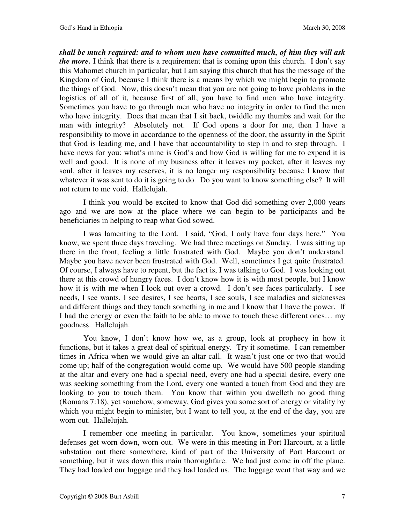*shall be much required: and to whom men have committed much, of him they will ask the more*. I think that there is a requirement that is coming upon this church. I don't say this Mahomet church in particular, but I am saying this church that has the message of the Kingdom of God, because I think there is a means by which we might begin to promote the things of God. Now, this doesn't mean that you are not going to have problems in the logistics of all of it, because first of all, you have to find men who have integrity. Sometimes you have to go through men who have no integrity in order to find the men who have integrity. Does that mean that I sit back, twiddle my thumbs and wait for the man with integrity? Absolutely not. If God opens a door for me, then I have a responsibility to move in accordance to the openness of the door, the assurity in the Spirit that God is leading me, and I have that accountability to step in and to step through. I have news for you: what's mine is God's and how God is willing for me to expend it is well and good. It is none of my business after it leaves my pocket, after it leaves my soul, after it leaves my reserves, it is no longer my responsibility because I know that whatever it was sent to do it is going to do. Do you want to know something else? It will not return to me void. Hallelujah.

I think you would be excited to know that God did something over 2,000 years ago and we are now at the place where we can begin to be participants and be beneficiaries in helping to reap what God sowed.

I was lamenting to the Lord. I said, "God, I only have four days here." You know, we spent three days traveling. We had three meetings on Sunday. I was sitting up there in the front, feeling a little frustrated with God. Maybe you don't understand. Maybe you have never been frustrated with God. Well, sometimes I get quite frustrated. Of course, I always have to repent, but the fact is, I was talking to God. I was looking out there at this crowd of hungry faces. I don't know how it is with most people, but I know how it is with me when I look out over a crowd. I don't see faces particularly. I see needs, I see wants, I see desires, I see hearts, I see souls, I see maladies and sicknesses and different things and they touch something in me and I know that I have the power. If I had the energy or even the faith to be able to move to touch these different ones… my goodness. Hallelujah.

You know, I don't know how we, as a group, look at prophecy in how it functions, but it takes a great deal of spiritual energy. Try it sometime. I can remember times in Africa when we would give an altar call. It wasn't just one or two that would come up; half of the congregation would come up. We would have 500 people standing at the altar and every one had a special need, every one had a special desire, every one was seeking something from the Lord, every one wanted a touch from God and they are looking to you to touch them. You know that within you dwelleth no good thing (Romans 7:18), yet somehow, someway, God gives you some sort of energy or vitality by which you might begin to minister, but I want to tell you, at the end of the day, you are worn out. Hallelujah.

I remember one meeting in particular. You know, sometimes your spiritual defenses get worn down, worn out. We were in this meeting in Port Harcourt, at a little substation out there somewhere, kind of part of the University of Port Harcourt or something, but it was down this main thoroughfare. We had just come in off the plane. They had loaded our luggage and they had loaded us. The luggage went that way and we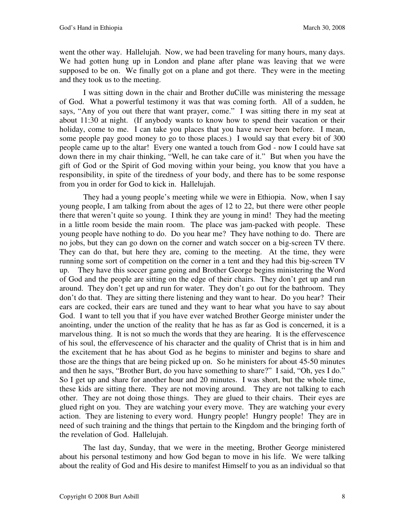went the other way. Hallelujah. Now, we had been traveling for many hours, many days. We had gotten hung up in London and plane after plane was leaving that we were supposed to be on. We finally got on a plane and got there. They were in the meeting and they took us to the meeting.

I was sitting down in the chair and Brother duCille was ministering the message of God. What a powerful testimony it was that was coming forth. All of a sudden, he says, "Any of you out there that want prayer, come." I was sitting there in my seat at about 11:30 at night. (If anybody wants to know how to spend their vacation or their holiday, come to me. I can take you places that you have never been before. I mean, some people pay good money to go to those places.) I would say that every bit of 300 people came up to the altar! Every one wanted a touch from God - now I could have sat down there in my chair thinking, "Well, he can take care of it." But when you have the gift of God or the Spirit of God moving within your being, you know that you have a responsibility, in spite of the tiredness of your body, and there has to be some response from you in order for God to kick in. Hallelujah.

They had a young people's meeting while we were in Ethiopia. Now, when I say young people, I am talking from about the ages of 12 to 22, but there were other people there that weren't quite so young. I think they are young in mind! They had the meeting in a little room beside the main room. The place was jam-packed with people. These young people have nothing to do. Do you hear me? They have nothing to do. There are no jobs, but they can go down on the corner and watch soccer on a big-screen TV there. They can do that, but here they are, coming to the meeting. At the time, they were running some sort of competition on the corner in a tent and they had this big-screen TV up. They have this soccer game going and Brother George begins ministering the Word of God and the people are sitting on the edge of their chairs. They don't get up and run around. They don't get up and run for water. They don't go out for the bathroom. They don't do that. They are sitting there listening and they want to hear. Do you hear? Their ears are cocked, their ears are tuned and they want to hear what you have to say about God. I want to tell you that if you have ever watched Brother George minister under the anointing, under the unction of the reality that he has as far as God is concerned, it is a marvelous thing. It is not so much the words that they are hearing. It is the effervescence of his soul, the effervescence of his character and the quality of Christ that is in him and the excitement that he has about God as he begins to minister and begins to share and those are the things that are being picked up on. So he ministers for about 45-50 minutes and then he says, "Brother Burt, do you have something to share?" I said, "Oh, yes I do." So I get up and share for another hour and 20 minutes. I was short, but the whole time, these kids are sitting there. They are not moving around. They are not talking to each other. They are not doing those things. They are glued to their chairs. Their eyes are glued right on you. They are watching your every move. They are watching your every action. They are listening to every word. Hungry people! Hungry people! They are in need of such training and the things that pertain to the Kingdom and the bringing forth of the revelation of God. Hallelujah.

The last day, Sunday, that we were in the meeting, Brother George ministered about his personal testimony and how God began to move in his life. We were talking about the reality of God and His desire to manifest Himself to you as an individual so that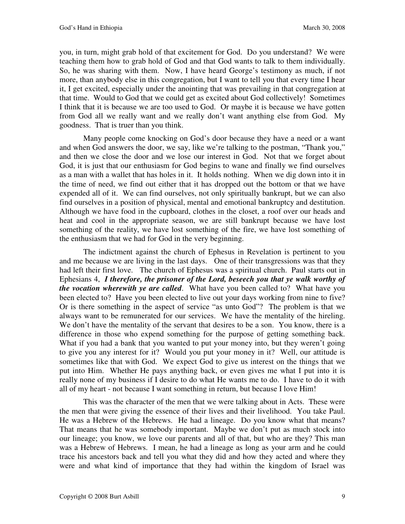you, in turn, might grab hold of that excitement for God. Do you understand? We were teaching them how to grab hold of God and that God wants to talk to them individually. So, he was sharing with them. Now, I have heard George's testimony as much, if not more, than anybody else in this congregation, but I want to tell you that every time I hear it, I get excited, especially under the anointing that was prevailing in that congregation at that time. Would to God that we could get as excited about God collectively! Sometimes I think that it is because we are too used to God. Or maybe it is because we have gotten from God all we really want and we really don't want anything else from God. My goodness. That is truer than you think.

Many people come knocking on God's door because they have a need or a want and when God answers the door, we say, like we're talking to the postman, "Thank you," and then we close the door and we lose our interest in God. Not that we forget about God, it is just that our enthusiasm for God begins to wane and finally we find ourselves as a man with a wallet that has holes in it. It holds nothing. When we dig down into it in the time of need, we find out either that it has dropped out the bottom or that we have expended all of it. We can find ourselves, not only spiritually bankrupt, but we can also find ourselves in a position of physical, mental and emotional bankruptcy and destitution. Although we have food in the cupboard, clothes in the closet, a roof over our heads and heat and cool in the appropriate season, we are still bankrupt because we have lost something of the reality, we have lost something of the fire, we have lost something of the enthusiasm that we had for God in the very beginning.

The indictment against the church of Ephesus in Revelation is pertinent to you and me because we are living in the last days. One of their transgressions was that they had left their first love. The church of Ephesus was a spiritual church. Paul starts out in Ephesians 4, *I therefore, the prisoner of the Lord, beseech you that ye walk worthy of the vocation wherewith ye are called*. What have you been called to? What have you been elected to? Have you been elected to live out your days working from nine to five? Or is there something in the aspect of service "as unto God"? The problem is that we always want to be remunerated for our services. We have the mentality of the hireling. We don't have the mentality of the servant that desires to be a son. You know, there is a difference in those who expend something for the purpose of getting something back. What if you had a bank that you wanted to put your money into, but they weren't going to give you any interest for it? Would you put your money in it? Well, our attitude is sometimes like that with God. We expect God to give us interest on the things that we put into Him. Whether He pays anything back, or even gives me what I put into it is really none of my business if I desire to do what He wants me to do. I have to do it with all of my heart - not because I want something in return, but because I love Him!

This was the character of the men that we were talking about in Acts. These were the men that were giving the essence of their lives and their livelihood. You take Paul. He was a Hebrew of the Hebrews. He had a lineage. Do you know what that means? That means that he was somebody important. Maybe we don't put as much stock into our lineage; you know, we love our parents and all of that, but who are they? This man was a Hebrew of Hebrews. I mean, he had a lineage as long as your arm and he could trace his ancestors back and tell you what they did and how they acted and where they were and what kind of importance that they had within the kingdom of Israel was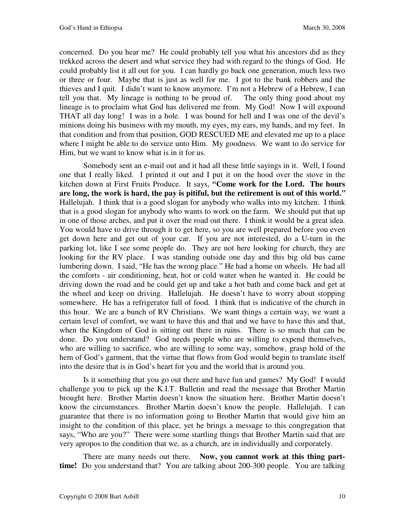concerned. Do you hear me? He could probably tell you what his ancestors did as they trekked across the desert and what service they had with regard to the things of God. He could probably list it all out for you. I can hardly go back one generation, much less two or three or four. Maybe that is just as well for me. I got to the bank robbers and the thieves and I quit. I didn't want to know anymore. I'm not a Hebrew of a Hebrew, I can tell you that. My lineage is nothing to be proud of. The only thing good about my lineage is to proclaim what God has delivered me from. My God! Now I will expound THAT all day long! I was in a hole. I was bound for hell and I was one of the devil's minions doing his business with my mouth, my eyes, my ears, my hands, and my feet. In that condition and from that position, GOD RESCUED ME and elevated me up to a place where I might be able to do service unto Him. My goodness. We want to do service for Him, but we want to know what is in it for us.

Somebody sent an e-mail out and it had all these little sayings in it. Well, I found one that I really liked. I printed it out and I put it on the hood over the stove in the kitchen down at First Fruits Produce. It says, *"***Come work for the Lord. The hours are long, the work is hard, the pay is pitiful, but the retirement is out of this world.***"*  Hallelujah. I think that is a good slogan for anybody who walks into my kitchen. I think that is a good slogan for anybody who wants to work on the farm. We should put that up in one of those arches, and put it over the road out there. I think it would be a great idea. You would have to drive through it to get here, so you are well prepared before you even get down here and get out of your car. If you are not interested, do a U-turn in the parking lot, like I see some people do. They are not here looking for church, they are looking for the RV place. I was standing outside one day and this big old bus came lumbering down. I said, "He has the wrong place." He had a home on wheels. He had all the comforts - air conditioning, heat, hot or cold water when he wanted it. He could be driving down the road and he could get up and take a hot bath and come back and get at the wheel and keep on driving. Hallelujah. He doesn't have to worry about stopping somewhere. He has a refrigerator full of food. I think that is indicative of the church in this hour. We are a bunch of RV Christians. We want things a certain way, we want a certain level of comfort, we want to have this and that and we have to have this and that, when the Kingdom of God is sitting out there in ruins. There is so much that can be done. Do you understand? God needs people who are willing to expend themselves, who are willing to sacrifice, who are willing to some way, somehow, grasp hold of the hem of God's garment, that the virtue that flows from God would begin to translate itself into the desire that is in God's heart for you and the world that is around you.

Is it something that you go out there and have fun and games? My God! I would challenge you to pick up the K.I.T. Bulletin and read the message that Brother Martin brought here. Brother Martin doesn't know the situation here. Brother Martin doesn't know the circumstances. Brother Martin doesn't know the people. Hallelujah. I can guarantee that there is no information going to Brother Martin that would give him an insight to the condition of this place, yet he brings a message to this congregation that says, "Who are you?" There were some startling things that Brother Martin said that are very apropos to the condition that we, as a church, are in individually and corporately.

There are many needs out there. **Now, you cannot work at this thing parttime!** Do you understand that? You are talking about 200-300 people. You are talking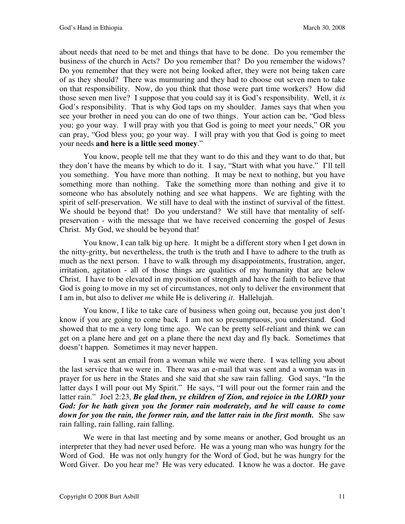about needs that need to be met and things that have to be done. Do you remember the business of the church in Acts? Do you remember that? Do you remember the widows? Do you remember that they were not being looked after, they were not being taken care of as they should? There was murmuring and they had to choose out seven men to take on that responsibility. Now, do you think that those were part time workers? How did those seven men live? I suppose that you could say it is God's responsibility. Well, it *is* God's responsibility. That is why God taps on my shoulder. James says that when you see your brother in need you can do one of two things. Your action can be, "God bless you; go your way. I will pray with you that God is going to meet your needs," OR you can pray, "God bless you; go your way. I will pray with you that God is going to meet your needs **and here is a little seed money**."

You know, people tell me that they want to do this and they want to do that, but they don't have the means by which to do it. I say, "Start with what you have." I'll tell you something. You have more than nothing. It may be next to nothing, but you have something more than nothing. Take the something more than nothing and give it to someone who has absolutely nothing and see what happens. We are fighting with the spirit of self-preservation. We still have to deal with the instinct of survival of the fittest. We should be beyond that! Do you understand? We still have that mentality of selfpreservation - with the message that we have received concerning the gospel of Jesus Christ. My God, we should be beyond that!

You know, I can talk big up here. It might be a different story when I get down in the nitty-gritty, but nevertheless, the truth is the truth and I have to adhere to the truth as much as the next person. I have to walk through my disappointments, frustration, anger, irritation, agitation - all of those things are qualities of my humanity that are below Christ. I have to be elevated in my position of strength and have the faith to believe that God is going to move in my set of circumstances, not only to deliver the environment that I am in, but also to deliver *me* while He is delivering *it*. Hallelujah.

You know, I like to take care of business when going out, because you just don't know if you are going to come back. I am not so presumptuous, you understand. God showed that to me a very long time ago. We can be pretty self-reliant and think we can get on a plane here and get on a plane there the next day and fly back. Sometimes that doesn't happen. Sometimes it may never happen.

I was sent an email from a woman while we were there. I was telling you about the last service that we were in. There was an e-mail that was sent and a woman was in prayer for us here in the States and she said that she saw rain falling. God says, "In the latter days I will pour out My Spirit." He says, "I will pour out the former rain and the latter rain." Joel 2:23, *Be glad then, ye children of Zion, and rejoice in the LORD your God: for he hath given you the former rain moderately, and he will cause to come down for you the rain, the former rain, and the latter rain in the first month.* She saw rain falling, rain falling, rain falling.

We were in that last meeting and by some means or another, God brought us an interpreter that they had never used before. He was a young man who was hungry for the Word of God. He was not only hungry for the Word of God, but he was hungry for the Word Giver. Do you hear me? He was very educated. I know he was a doctor. He gave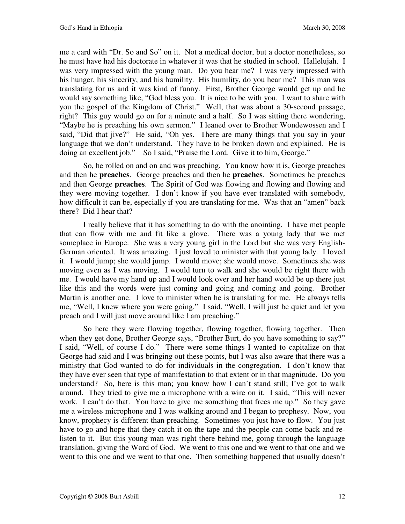me a card with "Dr. So and So" on it. Not a medical doctor, but a doctor nonetheless, so he must have had his doctorate in whatever it was that he studied in school. Hallelujah. I was very impressed with the young man. Do you hear me? I was very impressed with his hunger, his sincerity, and his humility. His humility, do you hear me? This man was translating for us and it was kind of funny. First, Brother George would get up and he would say something like, "God bless you. It is nice to be with you. I want to share with you the gospel of the Kingdom of Christ." Well, that was about a 30-second passage, right? This guy would go on for a minute and a half. So I was sitting there wondering, "Maybe he is preaching his own sermon." I leaned over to Brother Wondewossen and I said, "Did that jive?" He said, "Oh yes. There are many things that you say in your language that we don't understand. They have to be broken down and explained. He is doing an excellent job." So I said, "Praise the Lord. Give it to him, George."

So, he rolled on and on and was preaching. You know how it is, George preaches and then he **preaches**. George preaches and then he **preaches**. Sometimes he preaches and then George **preaches**. The Spirit of God was flowing and flowing and flowing and they were moving together. I don't know if you have ever translated with somebody, how difficult it can be, especially if you are translating for me. Was that an "amen" back there? Did I hear that?

I really believe that it has something to do with the anointing. I have met people that can flow with me and fit like a glove. There was a young lady that we met someplace in Europe. She was a very young girl in the Lord but she was very English-German oriented. It was amazing. I just loved to minister with that young lady. I loved it. I would jump; she would jump. I would move; she would move. Sometimes she was moving even as I was moving. I would turn to walk and she would be right there with me. I would have my hand up and I would look over and her hand would be up there just like this and the words were just coming and going and coming and going. Brother Martin is another one. I love to minister when he is translating for me. He always tells me, "Well, I knew where you were going." I said, "Well, I will just be quiet and let you preach and I will just move around like I am preaching."

So here they were flowing together, flowing together, flowing together. Then when they get done, Brother George says, "Brother Burt, do you have something to say?" I said, "Well, of course I do." There were some things I wanted to capitalize on that George had said and I was bringing out these points, but I was also aware that there was a ministry that God wanted to do for individuals in the congregation. I don't know that they have ever seen that type of manifestation to that extent or in that magnitude. Do you understand? So, here is this man; you know how I can't stand still; I've got to walk around. They tried to give me a microphone with a wire on it. I said, "This will never work. I can't do that. You have to give me something that frees me up." So they gave me a wireless microphone and I was walking around and I began to prophesy. Now, you know, prophecy is different than preaching. Sometimes you just have to flow. You just have to go and hope that they catch it on the tape and the people can come back and relisten to it. But this young man was right there behind me, going through the language translation, giving the Word of God. We went to this one and we went to that one and we went to this one and we went to that one. Then something happened that usually doesn't